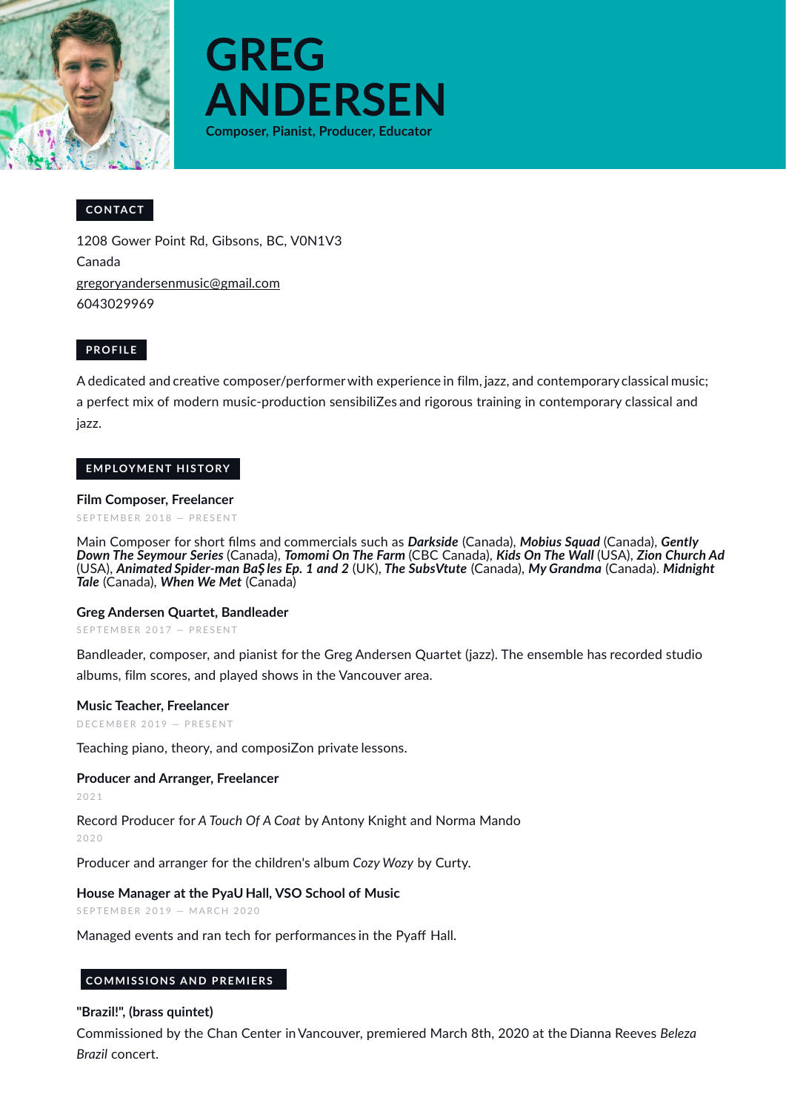



# **CONTACT**

1208 Gower Point Rd, Gibsons, BC, V0N1V3 Canada gregoryandersenmusic@gmail.com 6043029969

## **PROFILE**

A dedicated and creative composer/performer with experience in film, jazz, and contemporary classical music; a perfect mix of modern music-production sensibiliZes and rigorous training in contemporary classical and jazz.

#### **EMPLOYMENT HISTORY**

#### **Film Composer, Freelancer**

S E P T E M B E R 2018 - P R E S E N T

Main Composer for short films and commercials such as *Darkside* (Canada), *Mobius Squad* (Canada), *Gently Down The Seymour Series* (Canada), *Tomomi On The Farm* (CBC Canada), *Kids On The Wall* (USA), *Zion Church Ad* (USA), *Animated Spider-man BaŞ les Ep. 1 and 2* (UK), *The SubsVtute* (Canada), *My Grandma* (Canada). *Midnight Tale* (Canada), *When We Met* (Canada)

#### **Greg Andersen Quartet, Bandleader**

SEPTEMBER 2017 - PRESENT

Bandleader, composer, and pianist for the Greg Andersen Quartet (jazz). The ensemble has recorded studio albums, film scores, and played shows in the Vancouver area.

#### **Music Teacher, Freelancer**

D E C EMBER 2019 - PRESENT

Teaching piano, theory, and composiZon private lessons.

#### **Producer and Arranger, Freelancer**

2 0 2 1

Record Producer for *A Touch Of A Coat* by Antony Knight and Norma Mando  $2020$ 

Producer and arranger for the children's album *Cozy Wozy* by Curty.

**House Manager at the PyaU Hall, VSO School of Music**

SEPTEMBER 2019 - MARCH 2020

Managed events and ran tech for performances in the Pyaff Hall.

#### **COMMISSIONS AND PREMIERS**

#### **"Brazil!", (brass quintet)**

Commissioned by the Chan Center inVancouver, premiered March 8th, 2020 at the Dianna Reeves *Beleza Brazil* concert.